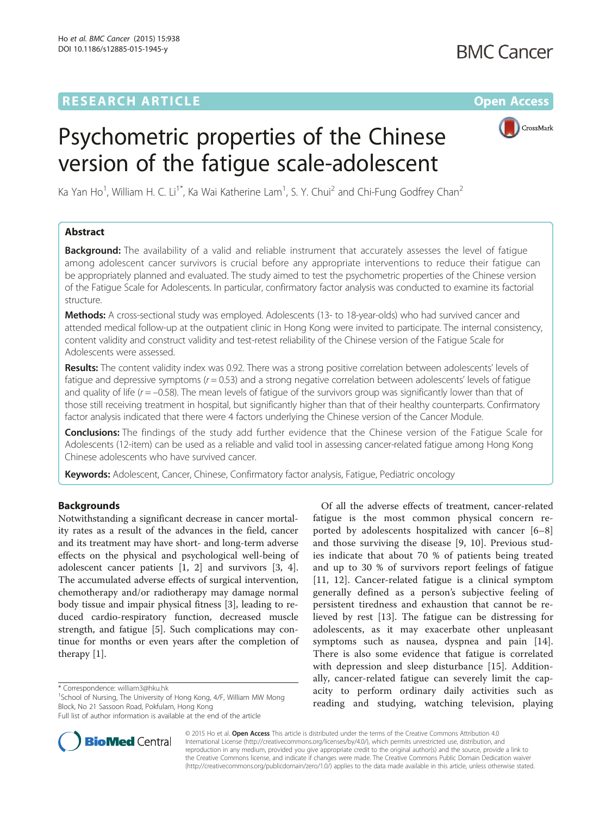## **RESEARCH ARTICLE External Structure Community Community Community Community Community Community Community Community**



# Psychometric properties of the Chinese version of the fatigue scale-adolescent

Ka Yan Ho<sup>1</sup>, William H. C. Li<sup>1\*</sup>, Ka Wai Katherine Lam<sup>1</sup>, S. Y. Chui<sup>2</sup> and Chi-Fung Godfrey Chan<sup>2</sup>

## Abstract

**Background:** The availability of a valid and reliable instrument that accurately assesses the level of fatigue among adolescent cancer survivors is crucial before any appropriate interventions to reduce their fatigue can be appropriately planned and evaluated. The study aimed to test the psychometric properties of the Chinese version of the Fatigue Scale for Adolescents. In particular, confirmatory factor analysis was conducted to examine its factorial structure.

Methods: A cross-sectional study was employed. Adolescents (13- to 18-year-olds) who had survived cancer and attended medical follow-up at the outpatient clinic in Hong Kong were invited to participate. The internal consistency, content validity and construct validity and test-retest reliability of the Chinese version of the Fatigue Scale for Adolescents were assessed.

Results: The content validity index was 0.92. There was a strong positive correlation between adolescents' levels of fatigue and depressive symptoms  $(r = 0.53)$  and a strong negative correlation between adolescents' levels of fatigue and quality of life ( $r = -0.58$ ). The mean levels of fatigue of the survivors group was significantly lower than that of those still receiving treatment in hospital, but significantly higher than that of their healthy counterparts. Confirmatory factor analysis indicated that there were 4 factors underlying the Chinese version of the Cancer Module.

Conclusions: The findings of the study add further evidence that the Chinese version of the Fatigue Scale for Adolescents (12-item) can be used as a reliable and valid tool in assessing cancer-related fatigue among Hong Kong Chinese adolescents who have survived cancer.

Keywords: Adolescent, Cancer, Chinese, Confirmatory factor analysis, Fatigue, Pediatric oncology

## Backgrounds

Notwithstanding a significant decrease in cancer mortality rates as a result of the advances in the field, cancer and its treatment may have short- and long-term adverse effects on the physical and psychological well-being of adolescent cancer patients [\[1, 2](#page-7-0)] and survivors [\[3](#page-7-0), [4](#page-7-0)]. The accumulated adverse effects of surgical intervention, chemotherapy and/or radiotherapy may damage normal body tissue and impair physical fitness [[3\]](#page-7-0), leading to reduced cardio-respiratory function, decreased muscle strength, and fatigue [[5\]](#page-7-0). Such complications may continue for months or even years after the completion of therapy [\[1](#page-7-0)].

**BioMed** Central

Full list of author information is available at the end of the article



© 2015 Ho et al. Open Access This article is distributed under the terms of the Creative Commons Attribution 4.0 International License [\(http://creativecommons.org/licenses/by/4.0/](http://creativecommons.org/licenses/by/4.0/)), which permits unrestricted use, distribution, and reproduction in any medium, provided you give appropriate credit to the original author(s) and the source, provide a link to the Creative Commons license, and indicate if changes were made. The Creative Commons Public Domain Dedication waiver [\(http://creativecommons.org/publicdomain/zero/1.0/](http://creativecommons.org/publicdomain/zero/1.0/)) applies to the data made available in this article, unless otherwise stated.

<sup>\*</sup> Correspondence: [william3@hku.hk](mailto:william3@hku.hk) <sup>1</sup>

<sup>&</sup>lt;sup>1</sup>School of Nursing, The University of Hong Kong, 4/F, William MW Mong Block, No 21 Sassoon Road, Pokfulam, Hong Kong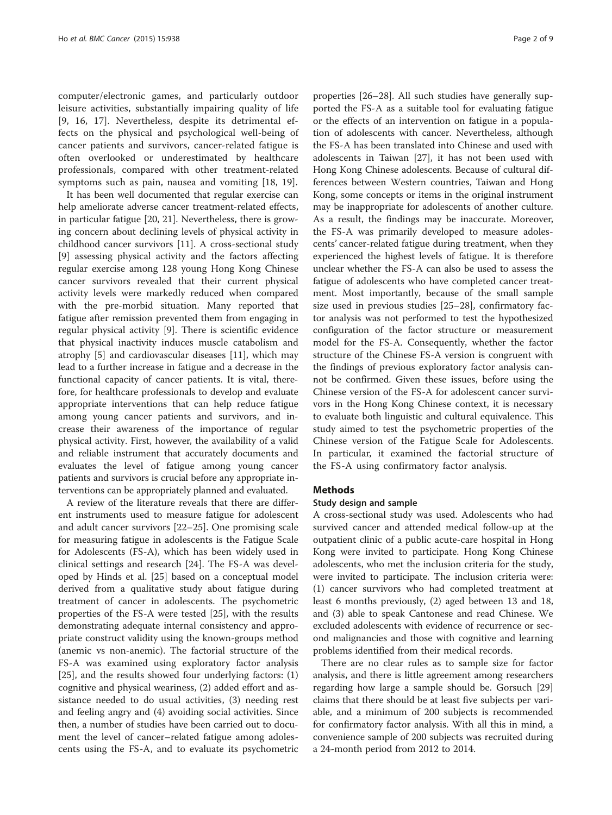computer/electronic games, and particularly outdoor leisure activities, substantially impairing quality of life [[9,](#page-7-0) [16](#page-8-0), [17](#page-8-0)]. Nevertheless, despite its detrimental effects on the physical and psychological well-being of cancer patients and survivors, cancer-related fatigue is often overlooked or underestimated by healthcare professionals, compared with other treatment-related symptoms such as pain, nausea and vomiting [\[18](#page-8-0), [19](#page-8-0)].

It has been well documented that regular exercise can help ameliorate adverse cancer treatment-related effects, in particular fatigue [\[20](#page-8-0), [21](#page-8-0)]. Nevertheless, there is growing concern about declining levels of physical activity in childhood cancer survivors [\[11](#page-7-0)]. A cross-sectional study [[9\]](#page-7-0) assessing physical activity and the factors affecting regular exercise among 128 young Hong Kong Chinese cancer survivors revealed that their current physical activity levels were markedly reduced when compared with the pre-morbid situation. Many reported that fatigue after remission prevented them from engaging in regular physical activity [\[9](#page-7-0)]. There is scientific evidence that physical inactivity induces muscle catabolism and atrophy [[5\]](#page-7-0) and cardiovascular diseases [[11](#page-7-0)], which may lead to a further increase in fatigue and a decrease in the functional capacity of cancer patients. It is vital, therefore, for healthcare professionals to develop and evaluate appropriate interventions that can help reduce fatigue among young cancer patients and survivors, and increase their awareness of the importance of regular physical activity. First, however, the availability of a valid and reliable instrument that accurately documents and evaluates the level of fatigue among young cancer patients and survivors is crucial before any appropriate interventions can be appropriately planned and evaluated.

A review of the literature reveals that there are different instruments used to measure fatigue for adolescent and adult cancer survivors [\[22](#page-8-0)–[25\]](#page-8-0). One promising scale for measuring fatigue in adolescents is the Fatigue Scale for Adolescents (FS-A), which has been widely used in clinical settings and research [[24](#page-8-0)]. The FS-A was developed by Hinds et al. [\[25\]](#page-8-0) based on a conceptual model derived from a qualitative study about fatigue during treatment of cancer in adolescents. The psychometric properties of the FS-A were tested [\[25](#page-8-0)], with the results demonstrating adequate internal consistency and appropriate construct validity using the known-groups method (anemic vs non-anemic). The factorial structure of the FS-A was examined using exploratory factor analysis [[25\]](#page-8-0), and the results showed four underlying factors: (1) cognitive and physical weariness, (2) added effort and assistance needed to do usual activities, (3) needing rest and feeling angry and (4) avoiding social activities. Since then, a number of studies have been carried out to document the level of cancer–related fatigue among adolescents using the FS-A, and to evaluate its psychometric

properties [[26](#page-8-0)–[28](#page-8-0)]. All such studies have generally supported the FS-A as a suitable tool for evaluating fatigue or the effects of an intervention on fatigue in a population of adolescents with cancer. Nevertheless, although the FS-A has been translated into Chinese and used with adolescents in Taiwan [\[27\]](#page-8-0), it has not been used with Hong Kong Chinese adolescents. Because of cultural differences between Western countries, Taiwan and Hong Kong, some concepts or items in the original instrument may be inappropriate for adolescents of another culture. As a result, the findings may be inaccurate. Moreover, the FS-A was primarily developed to measure adolescents' cancer-related fatigue during treatment, when they experienced the highest levels of fatigue. It is therefore unclear whether the FS-A can also be used to assess the fatigue of adolescents who have completed cancer treatment. Most importantly, because of the small sample size used in previous studies [[25](#page-8-0)–[28](#page-8-0)], confirmatory factor analysis was not performed to test the hypothesized configuration of the factor structure or measurement model for the FS-A. Consequently, whether the factor structure of the Chinese FS-A version is congruent with the findings of previous exploratory factor analysis cannot be confirmed. Given these issues, before using the Chinese version of the FS-A for adolescent cancer survivors in the Hong Kong Chinese context, it is necessary to evaluate both linguistic and cultural equivalence. This study aimed to test the psychometric properties of the Chinese version of the Fatigue Scale for Adolescents. In particular, it examined the factorial structure of the FS-A using confirmatory factor analysis.

#### **Methods**

#### Study design and sample

A cross-sectional study was used. Adolescents who had survived cancer and attended medical follow-up at the outpatient clinic of a public acute-care hospital in Hong Kong were invited to participate. Hong Kong Chinese adolescents, who met the inclusion criteria for the study, were invited to participate. The inclusion criteria were: (1) cancer survivors who had completed treatment at least 6 months previously, (2) aged between 13 and 18, and (3) able to speak Cantonese and read Chinese. We excluded adolescents with evidence of recurrence or second malignancies and those with cognitive and learning problems identified from their medical records.

There are no clear rules as to sample size for factor analysis, and there is little agreement among researchers regarding how large a sample should be. Gorsuch [[29](#page-8-0)] claims that there should be at least five subjects per variable, and a minimum of 200 subjects is recommended for confirmatory factor analysis. With all this in mind, a convenience sample of 200 subjects was recruited during a 24-month period from 2012 to 2014.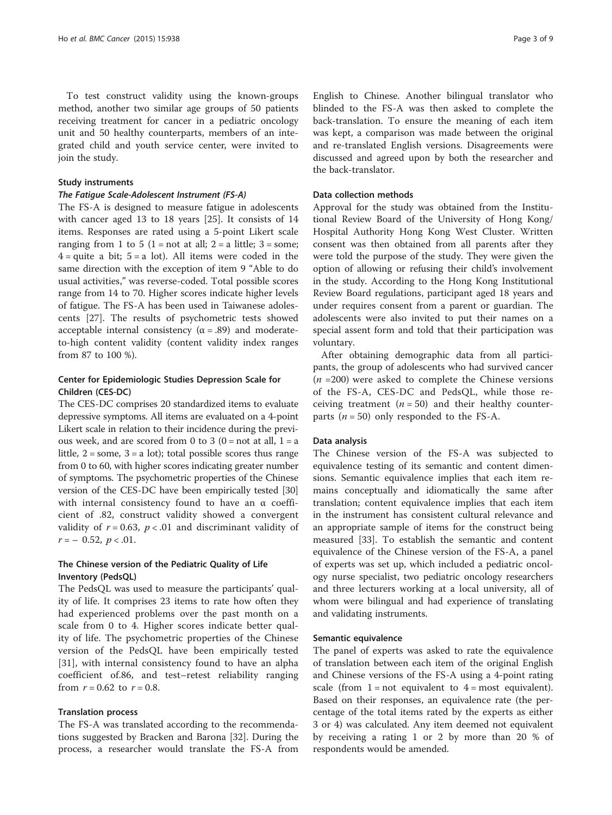To test construct validity using the known-groups method, another two similar age groups of 50 patients receiving treatment for cancer in a pediatric oncology unit and 50 healthy counterparts, members of an integrated child and youth service center, were invited to join the study.

#### Study instruments

#### The Fatigue Scale-Adolescent Instrument (FS-A)

The FS-A is designed to measure fatigue in adolescents with cancer aged 13 to 18 years [[25\]](#page-8-0). It consists of 14 items. Responses are rated using a 5-point Likert scale ranging from 1 to 5 (1 = not at all; 2 = a little; 3 = some;  $4 =$ quite a bit;  $5 =$ a lot). All items were coded in the same direction with the exception of item 9 "Able to do usual activities," was reverse-coded. Total possible scores range from 14 to 70. Higher scores indicate higher levels of fatigue. The FS-A has been used in Taiwanese adolescents [[27\]](#page-8-0). The results of psychometric tests showed acceptable internal consistency  $(\alpha = .89)$  and moderateto-high content validity (content validity index ranges from 87 to 100 %).

### Center for Epidemiologic Studies Depression Scale for Children (CES-DC)

The CES-DC comprises 20 standardized items to evaluate depressive symptoms. All items are evaluated on a 4-point Likert scale in relation to their incidence during the previous week, and are scored from 0 to 3 ( $0 =$  not at all,  $1 =$ a little,  $2 =$ some,  $3 =$ a lot); total possible scores thus range from 0 to 60, with higher scores indicating greater number of symptoms. The psychometric properties of the Chinese version of the CES-DC have been empirically tested [[30](#page-8-0)] with internal consistency found to have an α coefficient of .82, construct validity showed a convergent validity of  $r = 0.63$ ,  $p < .01$  and discriminant validity of  $r = -0.52, p < 0.01$ .

## The Chinese version of the Pediatric Quality of Life Inventory (PedsQL)

The PedsQL was used to measure the participants' quality of life. It comprises 23 items to rate how often they had experienced problems over the past month on a scale from 0 to 4. Higher scores indicate better quality of life. The psychometric properties of the Chinese version of the PedsQL have been empirically tested [[31\]](#page-8-0), with internal consistency found to have an alpha coefficient of.86, and test–retest reliability ranging from  $r = 0.62$  to  $r = 0.8$ .

#### Translation process

The FS-A was translated according to the recommendations suggested by Bracken and Barona [[32\]](#page-8-0). During the process, a researcher would translate the FS-A from English to Chinese. Another bilingual translator who blinded to the FS-A was then asked to complete the back-translation. To ensure the meaning of each item was kept, a comparison was made between the original and re-translated English versions. Disagreements were discussed and agreed upon by both the researcher and the back-translator.

#### Data collection methods

Approval for the study was obtained from the Institutional Review Board of the University of Hong Kong/ Hospital Authority Hong Kong West Cluster. Written consent was then obtained from all parents after they were told the purpose of the study. They were given the option of allowing or refusing their child's involvement in the study. According to the Hong Kong Institutional Review Board regulations, participant aged 18 years and under requires consent from a parent or guardian. The adolescents were also invited to put their names on a special assent form and told that their participation was voluntary.

After obtaining demographic data from all participants, the group of adolescents who had survived cancer  $(n = 200)$  were asked to complete the Chinese versions of the FS-A, CES-DC and PedsQL, while those receiving treatment  $(n = 50)$  and their healthy counterparts ( $n = 50$ ) only responded to the FS-A.

#### Data analysis

The Chinese version of the FS-A was subjected to equivalence testing of its semantic and content dimensions. Semantic equivalence implies that each item remains conceptually and idiomatically the same after translation; content equivalence implies that each item in the instrument has consistent cultural relevance and an appropriate sample of items for the construct being measured [\[33](#page-8-0)]. To establish the semantic and content equivalence of the Chinese version of the FS-A, a panel of experts was set up, which included a pediatric oncology nurse specialist, two pediatric oncology researchers and three lecturers working at a local university, all of whom were bilingual and had experience of translating and validating instruments.

#### Semantic equivalence

The panel of experts was asked to rate the equivalence of translation between each item of the original English and Chinese versions of the FS-A using a 4-point rating scale (from  $1 = not$  equivalent to  $4 = most$  equivalent). Based on their responses, an equivalence rate (the percentage of the total items rated by the experts as either 3 or 4) was calculated. Any item deemed not equivalent by receiving a rating 1 or 2 by more than 20 % of respondents would be amended.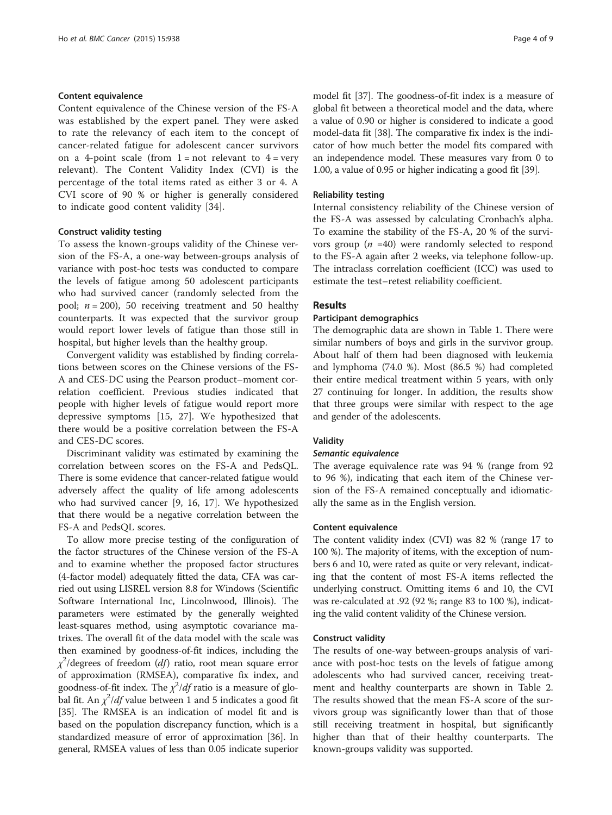#### Content equivalence

Content equivalence of the Chinese version of the FS-A was established by the expert panel. They were asked to rate the relevancy of each item to the concept of cancer-related fatigue for adolescent cancer survivors on a 4-point scale (from  $1 = not$  relevant to  $4 = very$ relevant). The Content Validity Index (CVI) is the percentage of the total items rated as either 3 or 4. A CVI score of 90 % or higher is generally considered to indicate good content validity [\[34](#page-8-0)].

#### Construct validity testing

To assess the known-groups validity of the Chinese version of the FS-A, a one-way between-groups analysis of variance with post-hoc tests was conducted to compare the levels of fatigue among 50 adolescent participants who had survived cancer (randomly selected from the pool;  $n = 200$ ), 50 receiving treatment and 50 healthy counterparts. It was expected that the survivor group would report lower levels of fatigue than those still in hospital, but higher levels than the healthy group.

Convergent validity was established by finding correlations between scores on the Chinese versions of the FS-A and CES-DC using the Pearson product–moment correlation coefficient. Previous studies indicated that people with higher levels of fatigue would report more depressive symptoms [[15, 27\]](#page-8-0). We hypothesized that there would be a positive correlation between the FS-A and CES-DC scores.

Discriminant validity was estimated by examining the correlation between scores on the FS-A and PedsQL. There is some evidence that cancer-related fatigue would adversely affect the quality of life among adolescents who had survived cancer [[9,](#page-7-0) [16](#page-8-0), [17\]](#page-8-0). We hypothesized that there would be a negative correlation between the FS-A and PedsQL scores.

To allow more precise testing of the configuration of the factor structures of the Chinese version of the FS-A and to examine whether the proposed factor structures (4-factor model) adequately fitted the data, CFA was carried out using LISREL version 8.8 for Windows (Scientific Software International Inc, Lincolnwood, Illinois). The parameters were estimated by the generally weighted least-squares method, using asymptotic covariance matrixes. The overall fit of the data model with the scale was then examined by goodness-of-fit indices, including the  $\chi^2$ /degrees of freedom (df) ratio, root mean square error of approximation (RMSEA), comparative fix index, and goodness-of-fit index. The  $\chi^2/df$  ratio is a measure of global fit. An  $\chi^2$ /df value between 1 and 5 indicates a good fit [[35](#page-8-0)]. The RMSEA is an indication of model fit and is based on the population discrepancy function, which is a standardized measure of error of approximation [\[36\]](#page-8-0). In general, RMSEA values of less than 0.05 indicate superior

model fit [\[37](#page-8-0)]. The goodness-of-fit index is a measure of global fit between a theoretical model and the data, where a value of 0.90 or higher is considered to indicate a good model-data fit [[38](#page-8-0)]. The comparative fix index is the indicator of how much better the model fits compared with an independence model. These measures vary from 0 to 1.00, a value of 0.95 or higher indicating a good fit [[39](#page-8-0)].

#### Reliability testing

Internal consistency reliability of the Chinese version of the FS-A was assessed by calculating Cronbach's alpha. To examine the stability of the FS-A, 20 % of the survivors group  $(n = 40)$  were randomly selected to respond to the FS-A again after 2 weeks, via telephone follow-up. The intraclass correlation coefficient (ICC) was used to estimate the test–retest reliability coefficient.

#### Results

#### Participant demographics

The demographic data are shown in Table [1.](#page-4-0) There were similar numbers of boys and girls in the survivor group. About half of them had been diagnosed with leukemia and lymphoma (74.0 %). Most (86.5 %) had completed their entire medical treatment within 5 years, with only 27 continuing for longer. In addition, the results show that three groups were similar with respect to the age and gender of the adolescents.

#### Validity

#### Semantic equivalence

The average equivalence rate was 94 % (range from 92 to 96 %), indicating that each item of the Chinese version of the FS-A remained conceptually and idiomatically the same as in the English version.

#### Content equivalence

The content validity index (CVI) was 82 % (range 17 to 100 %). The majority of items, with the exception of numbers 6 and 10, were rated as quite or very relevant, indicating that the content of most FS-A items reflected the underlying construct. Omitting items 6 and 10, the CVI was re-calculated at .92 (92 %; range 83 to 100 %), indicating the valid content validity of the Chinese version.

#### Construct validity

The results of one-way between-groups analysis of variance with post-hoc tests on the levels of fatigue among adolescents who had survived cancer, receiving treatment and healthy counterparts are shown in Table [2](#page-5-0). The results showed that the mean FS-A score of the survivors group was significantly lower than that of those still receiving treatment in hospital, but significantly higher than that of their healthy counterparts. The known-groups validity was supported.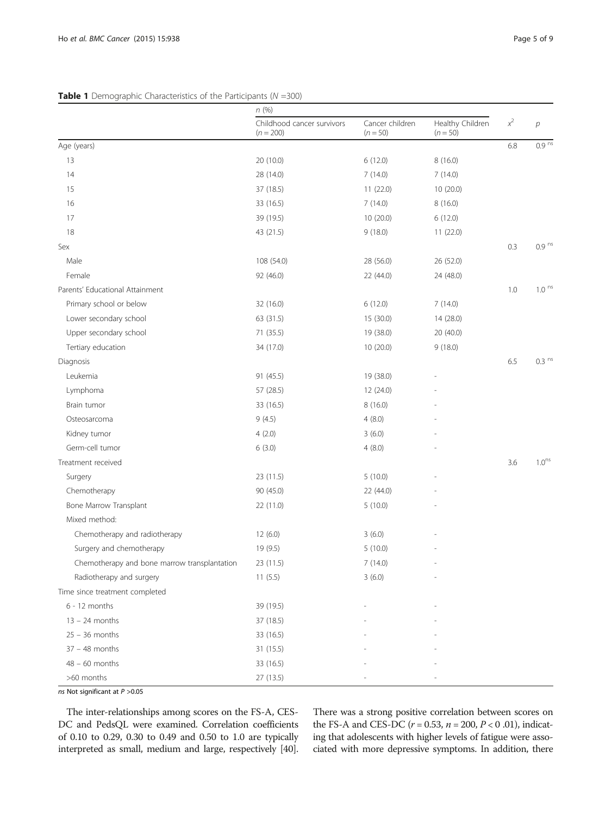## n (%) Childhood cancer survivors  $(n = 200)$ Cancer children  $(n = 50)$ Healthy Children  $(n = 50)$  $x^2$  $\overline{p}$ Age (years) and the set of the set of the set of the set of the set of the set of the set of the set of the set of the set of the set of the set of the set of the set of the set of the set of the set of the set of the set 13 20 (10.0) 6 (12.0) 8 (16.0) 14 28 (14.0) 7 (14.0) 7 (14.0) 15 37 (18.5) 11 (22.0) 10 (20.0) 16 **33** (16.5) 7 (14.0) 8 (16.0) 17 39 (19.5) 10 (20.0) 6 (12.0) 18 **43 (21.5)** 9 (18.0) 11 (22.0) Sex 0.3 0.9  $^{\circ}$  0.3 0.9 ns Male 108 (54.0) 28 (56.0) 28 (56.0) 26 (52.0) Female 92 (46.0) 22 (44.0) 24 (48.0) Parents' Educational Attainment 1.0 ns Primary school or below 32 (16.0) 6 (12.0) 6 (12.0) 7 (14.0) Lower secondary school 63 (31.5) 15 (30.0) 14 (28.0) Upper secondary school 19 (38.0) 20 (40.0) 20 (40.0) Tertiary education 34 (17.0) 10 (20.0) 9 (18.0) Diagnosis 6.5  $\,$  0.3  $^{\rm ns}$  6.5  $\,$  0.3  $^{\rm ns}$  6.5  $\,$  0.3  $^{\rm ns}$  6.5  $\,$  0.3  $^{\rm ns}$  6.5  $\,$  0.3  $^{\rm ns}$ Leukemia 91 (45.5) 19 (38.0) - Lymphoma 57 (28.5) 12 (24.0) - Brain tumor 33 (16.5) 8 (16.0) - Osteosarcoma 9 (4.5) 4 (8.0) - Kidney tumor 3 (6.0) 4 (2.0) 3 (6.0) Germ-cell tumor 4 (8.0)  $\qquad \qquad$  4 (8.0)  $\qquad \qquad$  4 (8.0) Treatment received 3.6 and 1.0<sup>ns</sup> and 1.0<sup>ns</sup> and 1.0<sup>ns</sup> and 1.0<sup>ns</sup> and 1.0<sup>ns</sup> and 1.0<sup>ns</sup> and 1.0<sup>ns</sup> and 1.0<sup>ns</sup> Surgery 30 - 23 (11.5) 5 (10.0) 5 (10.0) 5 (10.0) Chemotherapy 22 (44.0) Bone Marrow Transplant 1 1 1 22 (11.0) 5 (10.0) Mixed method: Chemotherapy and radiotherapy 12 (6.0) 3 (6.0) Surgery and chemotherapy 19 (9.5) 5 (10.0) Chemotherapy and bone marrow transplantation 23 (11.5) 7 (14.0) Radiotherapy and surgery 11 (5.5) 3 (6.0) Time since treatment completed 6 - 12 months 39 (19.5) - -  $13 - 24$  months  $37 (18.5)$  $25 - 36$  months 33 (16.5)  $37 - 48$  months  $31 (15.5)$ 48 – 60 months 33 (16.5)  $>60$  months 27 (13.5)

#### <span id="page-4-0"></span>**Table 1** Demographic Characteristics of the Participants ( $N = 300$ )

ns Not significant at P >0.05

The inter-relationships among scores on the FS-A, CES-DC and PedsQL were examined. Correlation coefficients of 0.10 to 0.29, 0.30 to 0.49 and 0.50 to 1.0 are typically interpreted as small, medium and large, respectively [\[40](#page-8-0)].

There was a strong positive correlation between scores on the FS-A and CES-DC ( $r = 0.53$ ,  $n = 200$ ,  $P < 0.01$ ), indicating that adolescents with higher levels of fatigue were associated with more depressive symptoms. In addition, there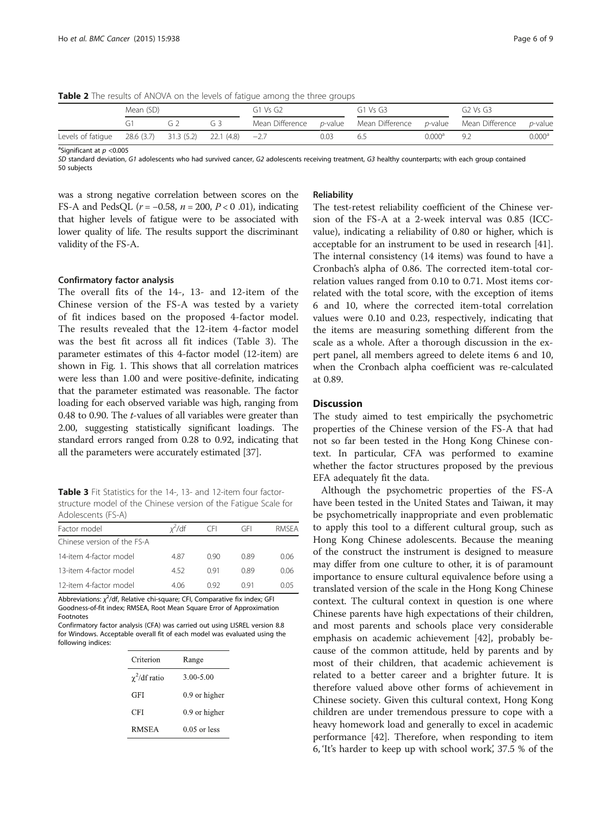<span id="page-5-0"></span>Table 2 The results of ANOVA on the levels of fatigue among the three groups

|                                                            | Mean (SD) |    |    | G1 Vs G2 |      | $G1$ Vs $G3$                                                            |                    | $G2$ Vs $G3$ |                 |
|------------------------------------------------------------|-----------|----|----|----------|------|-------------------------------------------------------------------------|--------------------|--------------|-----------------|
|                                                            |           | ί. | G3 |          |      | Mean Difference p-value Mean Difference p-value Mean Difference p-value |                    |              |                 |
| Levels of fatigue $28.6(3.7)$ 31.3 (5.2) 22.1 (4.8) $-2.7$ |           |    |    |          | 0.03 | 6.5                                                                     | 0.000 <sup>d</sup> | -Q D         | $0.000^{\rm a}$ |

<sup>a</sup>Significant at  $p < 0.005$ 

SD standard deviation, G1 adolescents who had survived cancer, G2 adolescents receiving treatment, G3 healthy counterparts; with each group contained 50 subjects

was a strong negative correlation between scores on the FS-A and PedsQL ( $r = -0.58$ ,  $n = 200$ ,  $P < 0.01$ ), indicating that higher levels of fatigue were to be associated with lower quality of life. The results support the discriminant validity of the FS-A.

#### Confirmatory factor analysis

The overall fits of the 14-, 13- and 12-item of the Chinese version of the FS-A was tested by a variety of fit indices based on the proposed 4-factor model. The results revealed that the 12-item 4-factor model was the best fit across all fit indices (Table 3). The parameter estimates of this 4-factor model (12-item) are shown in Fig. [1](#page-6-0). This shows that all correlation matrices were less than 1.00 and were positive-definite, indicating that the parameter estimated was reasonable. The factor loading for each observed variable was high, ranging from 0.48 to 0.90. The t-values of all variables were greater than 2.00, suggesting statistically significant loadings. The standard errors ranged from 0.28 to 0.92, indicating that all the parameters were accurately estimated [[37](#page-8-0)].

Table 3 Fit Statistics for the 14-, 13- and 12-item four factorstructure model of the Chinese version of the Fatigue Scale for Adolescents (FS-A)

| Factor model                | $x^2$ /df | CEL  | GFL  | RMSEA |
|-----------------------------|-----------|------|------|-------|
| Chinese version of the FS-A |           |      |      |       |
| 14-item 4-factor model      | 487       | O 90 | 0.89 | 0.06  |
| 13-item 4-factor model      | 452       | 091  | 0.89 | 0.06  |
| 12-item 4-factor model      | 406       | N 92 | O 91 | 0 O 5 |

Abbreviations:  $\chi^2$ /df, Relative chi-square; CFI, Comparative fix index; GFI Goodness-of-fit index; RMSEA, Root Mean Square Error of Approximation Footnotes

Confirmatory factor analysis (CFA) was carried out using LISREL version 8.8 for Windows. Acceptable overall fit of each model was evaluated using the following indices:

| Criterion          | Range          |  |  |  |
|--------------------|----------------|--|--|--|
| $\chi^2$ /df ratio | 3.00-5.00      |  |  |  |
| GFI                | 0.9 or higher  |  |  |  |
| CFI                | 0.9 or higher  |  |  |  |
| <b>RMSEA</b>       | $0.05$ or less |  |  |  |

#### Reliability

The test-retest reliability coefficient of the Chinese version of the FS-A at a 2-week interval was 0.85 (ICCvalue), indicating a reliability of 0.80 or higher, which is acceptable for an instrument to be used in research [\[41](#page-8-0)]. The internal consistency (14 items) was found to have a Cronbach's alpha of 0.86. The corrected item-total correlation values ranged from 0.10 to 0.71. Most items correlated with the total score, with the exception of items 6 and 10, where the corrected item-total correlation values were 0.10 and 0.23, respectively, indicating that the items are measuring something different from the scale as a whole. After a thorough discussion in the expert panel, all members agreed to delete items 6 and 10, when the Cronbach alpha coefficient was re-calculated at 0.89.

#### **Discussion**

The study aimed to test empirically the psychometric properties of the Chinese version of the FS-A that had not so far been tested in the Hong Kong Chinese context. In particular, CFA was performed to examine whether the factor structures proposed by the previous EFA adequately fit the data.

Although the psychometric properties of the FS-A have been tested in the United States and Taiwan, it may be psychometrically inappropriate and even problematic to apply this tool to a different cultural group, such as Hong Kong Chinese adolescents. Because the meaning of the construct the instrument is designed to measure may differ from one culture to other, it is of paramount importance to ensure cultural equivalence before using a translated version of the scale in the Hong Kong Chinese context. The cultural context in question is one where Chinese parents have high expectations of their children, and most parents and schools place very considerable emphasis on academic achievement [[42\]](#page-8-0), probably because of the common attitude, held by parents and by most of their children, that academic achievement is related to a better career and a brighter future. It is therefore valued above other forms of achievement in Chinese society. Given this cultural context, Hong Kong children are under tremendous pressure to cope with a heavy homework load and generally to excel in academic performance [\[42\]](#page-8-0). Therefore, when responding to item 6, 'It's harder to keep up with school work', 37.5 % of the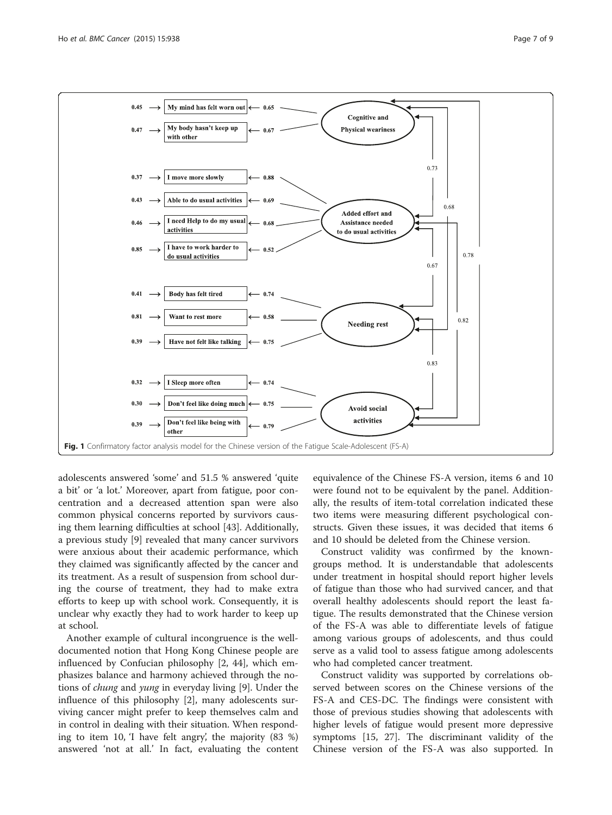<span id="page-6-0"></span>

adolescents answered 'some' and 51.5 % answered 'quite a bit' or 'a lot.' Moreover, apart from fatigue, poor concentration and a decreased attention span were also common physical concerns reported by survivors causing them learning difficulties at school [\[43](#page-8-0)]. Additionally, a previous study [\[9](#page-7-0)] revealed that many cancer survivors were anxious about their academic performance, which they claimed was significantly affected by the cancer and its treatment. As a result of suspension from school during the course of treatment, they had to make extra efforts to keep up with school work. Consequently, it is unclear why exactly they had to work harder to keep up at school.

Another example of cultural incongruence is the welldocumented notion that Hong Kong Chinese people are influenced by Confucian philosophy [\[2](#page-7-0), [44](#page-8-0)], which emphasizes balance and harmony achieved through the notions of chung and yung in everyday living [[9](#page-7-0)]. Under the influence of this philosophy [[2\]](#page-7-0), many adolescents surviving cancer might prefer to keep themselves calm and in control in dealing with their situation. When responding to item 10, 'I have felt angry', the majority (83 %) answered 'not at all.' In fact, evaluating the content equivalence of the Chinese FS-A version, items 6 and 10 were found not to be equivalent by the panel. Additionally, the results of item-total correlation indicated these two items were measuring different psychological constructs. Given these issues, it was decided that items 6 and 10 should be deleted from the Chinese version.

Construct validity was confirmed by the knowngroups method. It is understandable that adolescents under treatment in hospital should report higher levels of fatigue than those who had survived cancer, and that overall healthy adolescents should report the least fatigue. The results demonstrated that the Chinese version of the FS-A was able to differentiate levels of fatigue among various groups of adolescents, and thus could serve as a valid tool to assess fatigue among adolescents who had completed cancer treatment.

Construct validity was supported by correlations observed between scores on the Chinese versions of the FS-A and CES-DC. The findings were consistent with those of previous studies showing that adolescents with higher levels of fatigue would present more depressive symptoms [\[15, 27](#page-8-0)]. The discriminant validity of the Chinese version of the FS-A was also supported. In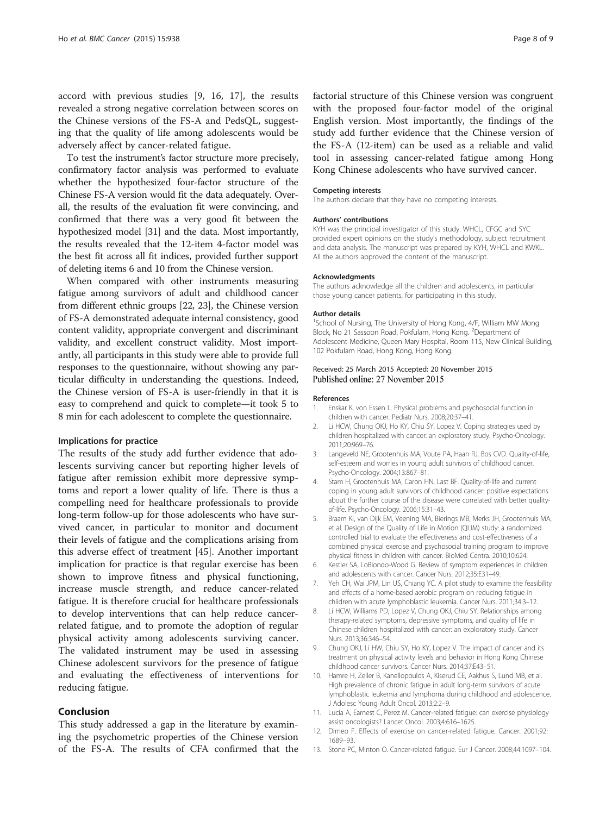<span id="page-7-0"></span>accord with previous studies [9, [16](#page-8-0), [17](#page-8-0)], the results revealed a strong negative correlation between scores on the Chinese versions of the FS-A and PedsQL, suggesting that the quality of life among adolescents would be adversely affect by cancer-related fatigue.

To test the instrument's factor structure more precisely, confirmatory factor analysis was performed to evaluate whether the hypothesized four-factor structure of the Chinese FS-A version would fit the data adequately. Overall, the results of the evaluation fit were convincing, and confirmed that there was a very good fit between the hypothesized model [\[31\]](#page-8-0) and the data. Most importantly, the results revealed that the 12-item 4-factor model was the best fit across all fit indices, provided further support of deleting items 6 and 10 from the Chinese version.

When compared with other instruments measuring fatigue among survivors of adult and childhood cancer from different ethnic groups [[22](#page-8-0), [23](#page-8-0)], the Chinese version of FS-A demonstrated adequate internal consistency, good content validity, appropriate convergent and discriminant validity, and excellent construct validity. Most importantly, all participants in this study were able to provide full responses to the questionnaire, without showing any particular difficulty in understanding the questions. Indeed, the Chinese version of FS-A is user-friendly in that it is easy to comprehend and quick to complete—it took 5 to 8 min for each adolescent to complete the questionnaire.

#### Implications for practice

The results of the study add further evidence that adolescents surviving cancer but reporting higher levels of fatigue after remission exhibit more depressive symptoms and report a lower quality of life. There is thus a compelling need for healthcare professionals to provide long-term follow-up for those adolescents who have survived cancer, in particular to monitor and document their levels of fatigue and the complications arising from this adverse effect of treatment [\[45](#page-8-0)]. Another important implication for practice is that regular exercise has been shown to improve fitness and physical functioning, increase muscle strength, and reduce cancer-related fatigue. It is therefore crucial for healthcare professionals to develop interventions that can help reduce cancerrelated fatigue, and to promote the adoption of regular physical activity among adolescents surviving cancer. The validated instrument may be used in assessing Chinese adolescent survivors for the presence of fatigue and evaluating the effectiveness of interventions for reducing fatigue.

#### Conclusion

This study addressed a gap in the literature by examining the psychometric properties of the Chinese version of the FS-A. The results of CFA confirmed that the factorial structure of this Chinese version was congruent with the proposed four-factor model of the original English version. Most importantly, the findings of the study add further evidence that the Chinese version of the FS-A (12-item) can be used as a reliable and valid tool in assessing cancer-related fatigue among Hong Kong Chinese adolescents who have survived cancer.

#### Competing interests

The authors declare that they have no competing interests.

#### Authors' contributions

KYH was the principal investigator of this study. WHCL, CFGC and SYC provided expert opinions on the study's methodology, subject recruitment and data analysis. The manuscript was prepared by KYH, WHCL and KWKL. All the authors approved the content of the manuscript.

#### Acknowledgments

The authors acknowledge all the children and adolescents, in particular those young cancer patients, for participating in this study.

#### Author details

<sup>1</sup>School of Nursing, The University of Hong Kong, 4/F, William MW Mong Block, No 21 Sassoon Road, Pokfulam, Hong Kong. <sup>2</sup>Department of Adolescent Medicine, Queen Mary Hospital, Room 115, New Clinical Building, 102 Pokfulam Road, Hong Kong, Hong Kong.

#### Received: 25 March 2015 Accepted: 20 November 2015 Published online: 27 November 2015

#### References

- 1. Enskar K, von Essen L. Physical problems and psychosocial function in children with cancer. Pediatr Nurs. 2008;20:37–41.
- 2. Li HCW, Chung OKJ, Ho KY, Chiu SY, Lopez V. Coping strategies used by children hospitalized with cancer: an exploratory study. Psycho-Oncology. 2011;20:969–76.
- 3. Langeveld NE, Grootenhuis MA, Voute PA, Haan RJ, Bos CVD. Quality-of-life, self-esteem and worries in young adult survivors of childhood cancer. Psycho-Oncology. 2004;13:867–81.
- 4. Stam H, Grootenhuis MA, Caron HN, Last BF. Quality-of-life and current coping in young adult survivors of childhood cancer: positive expectations about the further course of the disease were correlated with better qualityof-life. Psycho-Oncology. 2006;15:31–43.
- 5. Braam KI, van Dijk EM, Veening MA, Bierings MB, Merks JH, Grootenhuis MA, et al. Design of the Quality of Life in Motion (QLIM) study: a randomized controlled trial to evaluate the effectiveness and cost-effectiveness of a combined physical exercise and psychosocial training program to improve physical fitness in children with cancer. BioMed Centra. 2010;10:624.
- 6. Kestler SA, LoBiondo-Wood G. Review of symptom experiences in children and adolescents with cancer. Cancer Nurs. 2012;35:E31–49.
- 7. Yeh CH, Wai JPM, Lin US, Chiang YC. A pilot study to examine the feasibility and effects of a home-based aerobic program on reducing fatigue in children with acute lymphoblastic leukemia. Cancer Nurs. 2011;34:3–12.
- 8. Li HCW, Williams PD, Lopez V, Chung OKJ, Chiu SY. Relationships among therapy-related symptoms, depressive symptoms, and quality of life in Chinese children hospitalized with cancer: an exploratory study. Cancer Nurs. 2013;36:346–54.
- 9. Chung OKJ, Li HW, Chiu SY, Ho KY, Lopez V. The impact of cancer and its treatment on physical activity levels and behavior in Hong Kong Chinese childhood cancer survivors. Cancer Nurs. 2014;37:E43–51.
- 10. Hamre H, Zeller B, Kanellopoulos A, Kiserud CE, Aakhus S, Lund MB, et al. High prevalence of chronic fatigue in adult long-term survivors of acute lymphoblastic leukemia and lymphoma during childhood and adolescence. J Adolesc Young Adult Oncol. 2013;2:2–9.
- 11. Lucia A, Earnest C, Perez M. Cancer-related fatigue: can exercise physiology assist oncologists? Lancet Oncol. 2003;4:616–1625.
- 12. Dimeo F. Effects of exercise on cancer-related fatigue. Cancer. 2001;92: 1689–93.
- 13. Stone PC, Minton O. Cancer-related fatigue. Eur J Cancer. 2008;44:1097–104.